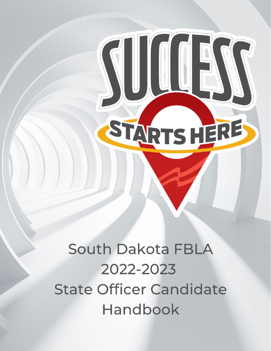South Dakota FBLA 2022-2023 **State Officer Candidate** Handbook

STARTSHERE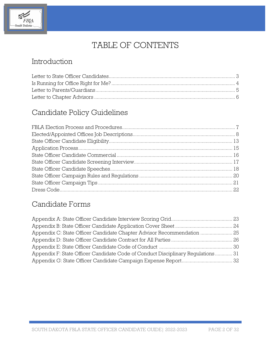

# TABLE OF CONTENTS

# Introduction

# Candidate Policy Guidelines

# Candidate Forms

| Appendix C: State Officer Candidate Chapter Advisor Recommendation  25          |  |
|---------------------------------------------------------------------------------|--|
|                                                                                 |  |
|                                                                                 |  |
| Appendix F: State Officer Candidate Code of Conduct Disciplinary Regulations 31 |  |
|                                                                                 |  |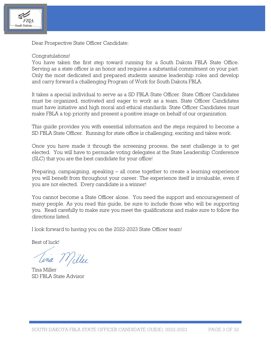

Dear Prospective State Officer Candidate:

### Congratulations!

You have taken the first step toward running for a South Dakota FBLA State Office. Serving as a state officer is an honor and requires a substantial commitment on your part. Only the most dedicated and prepared students assume leadership roles and develop and carry forward a challenging Program of Work for South Dakota FBLA.

It takes a special individual to serve as a SD FBLA State Officer. State Officer Candidates must be organized, motivated and eager to work as a team. State Officer Candidates must have initiative and high moral and ethical standards. State Officer Candidates must make FBLA a top priority and present a positive image on behalf of our organization.

This guide provides you with essential information and the steps required to become a SD FBLA State Officer. Running for state office is challenging, exciting and takes work.

Once you have made it through the screening process, the next challenge is to get elected. You will have to persuade voting delegates at the State Leadership Conference (SLC) that you are the best candidate for your office!

Preparing, campaigning, speaking – all come together to create a learning experience you will benefit from throughout your career. The experience itself is invaluable, even if you are not elected. Every candidate is a winner!

You cannot become a State Officer alone. You need the support and encouragement of many people. As you read this guide, be sure to include those who will be supporting you. Read carefully to make sure you meet the qualifications and make sure to follow the directions listed.

I look forward to having you on the 2022-2023 State Officer team!

Best of luck!

Lina Miller

Tina Miller SD FBLA State Advisor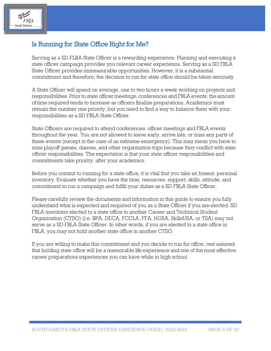

## Is Running for State Office Right for Me?

Serving as a SD FLBA State Officer is a rewarding experience. Planning and executing a state officer campaign provides you relevant career experience. Serving as a SD FBLA State Officer provides immeasurable opportunities. However, it is a substantial commitment and therefore, the decision to run for state office should be taken seriously.

A State Officer will spend on average, one to two hours a week working on projects and responsibilities. Prior to state officer meetings, conferences and FBLA events, the amount of time required tends to increase as officers finalize preparations. Academics must remain the number one priority, but you need to find a way to balance them with your responsibilities as a SD FBLA State Officer.

State Officers are required to attend conferences, officer meetings and FBLA events throughout the year. You are not allowed to leave early, arrive late, or miss any parts of these events (except in the case of an extreme emergency). This may mean you have to miss playoff games, dances, and other organization trips because they conflict with state officer responsibilities. The expectation is that your state officer responsibilities and commitments take priority, after your academics.

Before you commit to running for a state office, it is vital that you take an honest, personal inventory. Evaluate whether you have the time, resources, support, skills, attitude, and commitment to run a campaign and fulfill your duties as a SD FBLA State Officer.

Please carefully review the documents and information in this guide to ensure you fully understand what is expected and required of you as a State Officer if you are elected. SD FBLA members elected to a state office in another Career and Technical Student Organization (CTSO) (i.e. BPA, DECA, FCCLA, FFA, HOSA, SkillsUSA, or TSA) may not serve as a SD FBLA State Officer. In other words, if you are elected to a state office in FBLA, you may not hold another state office in another CTSO.

If you are willing to make this commitment and you decide to run for office, rest assured that holding state office will be a memorable life experience and one of the most effective career preparations experiences you can have while in high school.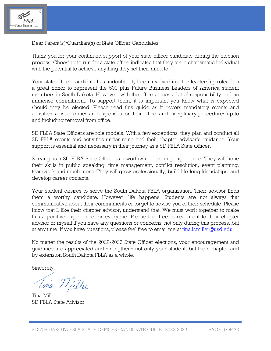

Dear Parent(s)/Guardian(s) of State Officer Candidates:

Thank you for your continued support of your state officer candidate during the election process. Choosing to run for a state office indicates that they are a charismatic individual with the potential to achieve anything they set their mind to.

Your state officer candidate has undoubtedly been involved in other leadership roles. It is a great honor to represent the 500 plus Future Business Leaders of America student members in South Dakota. However, with the office comes a lot of responsibility and an immense commitment. To support them, it is important you know what is expected should they be elected. Please read this guide as it covers mandatory events and activities, a list of duties and expenses for their office, and disciplinary procedures up to and including removal from office.

SD FLBA State Officers are role models. With a few exceptions, they plan and conduct all SD FBLA events and activities under mine and their chapter advisor's guidance. Your support is essential and necessary in their journey as a SD FBLA State Officer.

Serving as a SD FLBA State Officer is a worthwhile learning experience. They will hone their skills in public speaking, time management, conflict resolution, event planning, teamwork and much more. They will grow professionally, build life-long friendships, and develop career contacts.

Your student desires to serve the South Dakota FBLA organization. Their advisor finds them a worthy candidate. However, life happens. Students are not always that communicative about their commitments or forget to advise you of their schedule. Please know that I, like their chapter advisor, understand that. We must work together to make this a positive experience for everyone. Please feel free to reach out to their chapter advisor or myself if you have any questions or concerns, not only during this process, but at any time. If you have questions, please feel free to email me at [tina.k.miller@usd.edu.](mailto:tina.k.miller@usd.edu)

No matter the results of the 2022-2023 State Officer elections, your encouragement and guidance are appreciated and strengthens not only your student, but their chapter and by extension South Dakota FBLA as a whole.

Sincerely,

Lina Willer

Tina Miller SD FBLA State Advisor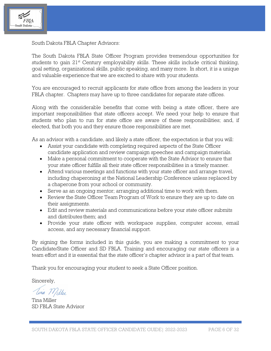

South Dakota FBLA Chapter Advisors:

The South Dakota FBLA State Officer Program provides tremendous opportunities for students to gain  $21<sup>st</sup>$  Century employability skills. These skills include critical thinking, goal setting, organizational skills, public speaking, and many more. In short, it is a unique and valuable experience that we are excited to share with your students.

You are encouraged to recruit applicants for state office from among the leaders in your FBLA chapter. Chapters may have up to three candidates for separate state offices.

Along with the considerable benefits that come with being a state officer, there are important responsibilities that state officers accept. We need your help to ensure that students who plan to run for state office are aware of these responsibilities; and, if elected, that both you and they ensure those responsibilities are met.

As an advisor with a candidate, and likely a state officer, the expectation is that you will:

- Assist your candidate with completing required aspects of the State Officer candidate application and review campaign speeches and campaign materials.
- Make a personal commitment to cooperate with the State Advisor to ensure that your state officer fulfills all their state officer responsibilities in a timely manner.
- Attend various meetings and functions with your state officer and arrange travel, including chaperoning at the National Leadership Conference unless replaced by a chaperone from your school or community.
- Serve as an ongoing mentor; arranging additional time to work with them.
- Review the State Officer Team Program of Work to ensure they are up to date on their assignments.
- Edit and review materials and communications before your state officer submits and distributes them; and
- Provide your state officer with workspace supplies, computer access, email access, and any necessary financial support.

By signing the forms included in this guide, you are making a commitment to your Candidate/State Officer and SD FBLA. Training and encouraging our state officers is a team effort and it is essential that the state officer's chapter advisor is a part of that team.

Thank you for encouraging your student to seek a State Officer position.

Sincerely,

Unia Miller

Tina Miller SD FBLA State Advisor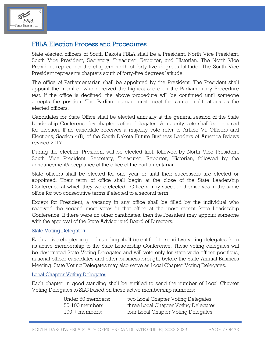

### FBLA Election Process and Procedures

State elected officers of South Dakota FBLA shall be a President, North Vice President, South Vice President, Secretary, Treasurer, Reporter, and Historian. The North Vice President represents the chapters north of forty-five degrees latitude. The South Vice President represents chapters south of forty-five degrees latitude.

The office of Parliamentarian shall be appointed by the President. The President shall appoint the member who received the highest score on the Parliamentary Procedure test. If the office is declined, the above procedure will be continued until someone accepts the position. The Parliamentarian must meet the same qualifications as the elected officers.

Candidates for State Office shall be elected annually at the general session of the State Leadership Conference by chapter voting delegates. A majority vote shall be required for election. If no candidate receives a majority vote refer to Article VI. Officers and Elections, Section 4(B) of the South Dakota Future Business Leaders of America Bylaws revised 2017.

During the election, President will be elected first, followed by North Vice President, South Vice President, Secretary, Treasurer, Reporter, Historian, followed by the announcement/acceptance of the office of the Parliamentarian.

State officers shall be elected for one year or until their successors are elected or appointed. Their term of office shall begin at the close of the State Leadership Conference at which they were elected. Officers may succeed themselves in the same office for two consecutive terms if elected to a second term.

Except for President, a vacancy in any office shall be filled by the individual who received the second most votes in that office at the most recent State Leadership Conference. If there were no other candidates, then the President may appoint someone with the approval of the State Advisor and Board of Directors.

#### State Voting Delegates

Each active chapter in good standing shall be entitled to send two voting delegates from its active membership to the State Leadership Conference. These voting delegates will be designated State Voting Delegates and will vote only for state-wide officer positions, national officer candidates and other business brought before the State Annual Business Meeting. State Voting Delegates may also serve as Local Chapter Voting Delegates.

#### Local Chapter Voting Delegates

Each chapter in good standing shall be entitled to send the number of Local Chapter Voting Delegates to SLC based on these active membership numbers:

| Under 50 members:      | two Local Chapter Voting Delegates   |
|------------------------|--------------------------------------|
| 50-100 members:        | three Local Chapter Voting Delegates |
| $100 + \text{members}$ | four Local Chapter Voting Delegates  |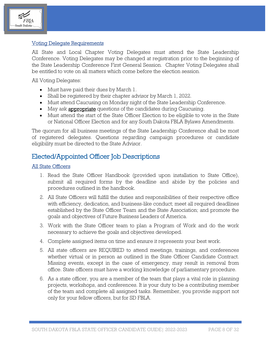

### Voting Delegate Requirements

All State and Local Chapter Voting Delegates must attend the State Leadership Conference. Voting Delegates may be changed at registration prior to the beginning of the State Leadership Conference First General Session. Chapter Voting Delegates shall be entitled to vote on all matters which come before the election session.

All Voting Delegates:

- Must have paid their dues by March 1.
- Shall be registered by their chapter advisor by March 1, 2022.
- Must attend Caucusing on Monday night of the State Leadership Conference.
- May ask **appropriate** questions of the candidates during Caucusing.
- Must attend the start of the State Officer Election to be eligible to vote in the State or National Officer Election and for any South Dakota FBLA Bylaws Amendments.

The quorum for all business meetings of the State Leadership Conference shall be most of registered delegates. Questions regarding campaign procedures or candidate eligibility must be directed to the State Advisor.

### Elected/Appointed Officer Job Descriptions

### All State Officers

- 1. Read the State Officer Handbook (provided upon installation to State Office), submit all required forms by the deadline and abide by the policies and procedures outlined in the handbook.
- 2. All State Officers will fulfill the duties and responsibilities of their respective office with efficiency, dedication, and business-like conduct; meet all required deadlines established by the State Officer Team and the State Association; and promote the goals and objectives of Future Business Leaders of America.
- 3. Work with the State Officer team to plan a Program of Work and do the work necessary to achieve the goals and objectives developed.
- 4. Complete assigned items on time and ensure it represents your best work.
- 5. All state officers are REQUIRED to attend meetings, trainings, and conferences whether virtual or in person as outlined in the State Officer Candidate Contract. Missing events, except in the case of emergency, may result in removal from office. State officers must have a working knowledge of parliamentary procedure.
- 6. As a state officer, you are a member of the team that plays a vital role in planning projects, workshops, and conferences. It is your duty to be a contributing member of the team and complete all assigned tasks. Remember, you provide support not only for your fellow officers, but for SD FBLA.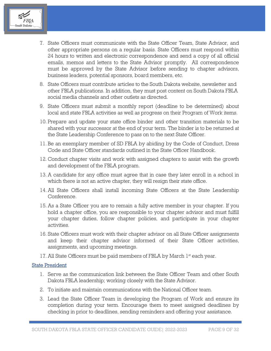

- 7. State Officers must communicate with the State Officer Team, State Advisor, and other appropriate persons on a regular basis. State Officers must respond within 24 hours to written and electronic correspondence and send a copy of all official emails, memos and letters to the State Advisor promptly. All correspondence must be approved by the State Advisor before sending to chapter advisors, business leaders, potential sponsors, board members, etc.
- 8. State Officers must contribute articles to the South Dakota website, newsletter and other FBLA publications. In addition, they must post content on South Dakota FBLA social media channels and other outlets as directed.
- 9. State Officers must submit a monthly report (deadline to be determined) about local and state FBLA activities as well as progress on their Program of Work items.
- 10. Prepare and update your state office binder and other transition materials to be shared with your successor at the end of your term. The binder is to be returned at the State Leadership Conference to pass on to the next State Officer.
- 11. Be an exemplary member of SD FBLA by abiding by the Code of Conduct, Dress Code and State Officer standards outlined in the State Officer Handbook.
- 12. Conduct chapter visits and work with assigned chapters to assist with the growth and development of the FBLA program.
- 13. A candidate for any office must agree that in case they later enroll in a school in which there is not an active chapter, they will resign their state office.
- 14. All State Officers shall install incoming State Officers at the State Leadership Conference.
- 15. As a State Officer you are to remain a fully active member in your chapter. If you hold a chapter office, you are responsible to your chapter advisor and must fulfill your chapter duties, follow chapter policies, and participate in your chapter activities.
- 16. State Officers must work with their chapter advisor on all State Officer assignments and keep their chapter advisor informed of their State Officer activities, assignments, and upcoming meetings.
- 17. All State Officers must be paid members of FBLA by March  $1<sup>st</sup>$  each year.

### State President

- 1. Serve as the communication link between the State Officer Team and other South Dakota FBLA leadership; working closely with the State Advisor.
- 2. To initiate and maintain communications with the National Officer team.
- 3. Lead the State Officer Team in developing the Program of Work and ensure its completion during your term. Encourage them to meet assigned deadlines by checking in prior to deadlines, sending reminders and offering your assistance.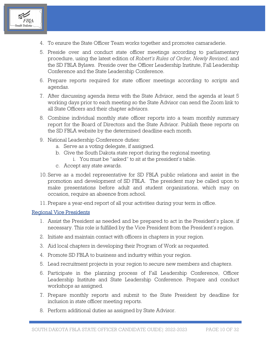

- 4. To ensure the State Officer Team works together and promotes camaraderie.
- 5. Preside over and conduct state officer meetings according to parliamentary procedure, using the latest edition of *Robert's Rules of Order, Newly Revised*, and the SD FBLA Bylaws. Preside over the Officer Leadership Institute, Fall Leadership Conference and the State Leadership Conference.
- 6. Prepare reports required for state officer meetings according to scripts and agendas.
- 7. After discussing agenda items with the State Advisor, send the agenda at least 5 working days prior to each meeting so the State Advisor can send the Zoom link to all State Officers and their chapter advisors.
- 8. Combine individual monthly state officer reports into a team monthly summary report for the Board of Directors and the State Advisor. Publish these reports on the SD FBLA website by the determined deadline each month.
- 9. National Leadership Conference duties:
	- a. Serve as a voting delegate, if assigned.
	- b. Give the South Dakota state report during the regional meeting.
		- i. You must be "asked" to sit at the president's table.
	- c. Accept any state awards.
- 10. Serve as a model representative for SD FBLA public relations and assist in the promotion and development of SD FBLA. The president may be called upon to make presentations before adult and student organizations, which may on occasion, require an absence from school.
- 11. Prepare a year-end report of all your activities during your term in office.

#### Regional Vice Presidents

- 1. Assist the President as needed and be prepared to act in the President's place, if necessary. This role is fulfilled by the Vice President from the President's region.
- 2. Initiate and maintain contact with officers in chapters in your region.
- 3. Aid local chapters in developing their Program of Work as requested.
- 4. Promote SD FBLA to business and industry within your region.
- 5. Lead recruitment projects in your region to secure new members and chapters.
- 6. Participate in the planning process of Fall Leadership Conference, Officer Leadership Institute and State Leadership Conference. Prepare and conduct workshops as assigned.
- 7. Prepare monthly reports and submit to the State President by deadline for inclusion in state officer meeting reports.
- 8. Perform additional duties as assigned by State Advisor.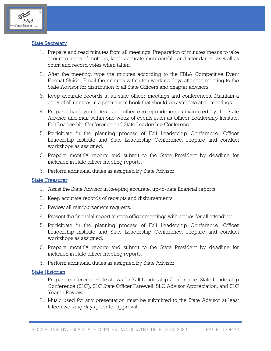

### **State Secretary**

- 1. Prepare and read minutes from all meetings. Preparation of minutes means to take accurate notes of motions, keep accurate membership and attendance, as well as count and record votes when taken.
- 2. After the meeting, type the minutes according to the FBLA Competitive Event Format Guide. Email the minutes within ten working days after the meeting to the State Advisor for distribution to all State Officers and chapter advisors.
- 3. Keep accurate records at all state officer meetings and conferences. Maintain a copy of all minutes in a permanent book that should be available at all meetings.
- 4. Prepare thank you letters, and other correspondence as instructed by the State Advisor and mail within one week of events such as Officer Leadership Institute, Fall Leadership Conference and State Leadership Conference.
- 5. Participate in the planning process of Fall Leadership Conference, Officer Leadership Institute and State Leadership Conference. Prepare and conduct workshops as assigned.
- 6. Prepare monthly reports and submit to the State President by deadline for inclusion in state officer meeting reports.
- 7. Perform additional duties as assigned by State Advisor.

#### State Treasurer

- 1. Assist the State Advisor in keeping accurate, up-to-date financial reports.
- 2. Keep accurate records of receipts and disbursements.
- 3. Review all reimbursement requests.
- 4. Present the financial report at state officer meetings with copies for all attending.
- 5. Participate in the planning process of Fall Leadership Conference, Officer Leadership Institute and State Leadership Conference. Prepare and conduct workshops as assigned.
- 6. Prepare monthly reports and submit to the State President by deadline for inclusion in state officer meeting reports.
- 7. Perform additional duties as assigned by State Advisor.

#### State Historian

- 1. Prepare conference slide shows for Fall Leadership Conference, State Leadership Conference (SLC), SLC State Officer Farewell, SLC Advisor Appreciation, and SLC Year in Review.
- 2. Music used for any presentation must be submitted to the State Advisor at least fifteen working days prior for approval.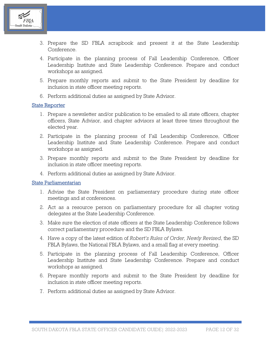

- 3. Prepare the SD FBLA scrapbook and present it at the State Leadership Conference.
- 4. Participate in the planning process of Fall Leadership Conference, Officer Leadership Institute and State Leadership Conference. Prepare and conduct workshops as assigned.
- 5. Prepare monthly reports and submit to the State President by deadline for inclusion in state officer meeting reports.
- 6. Perform additional duties as assigned by State Advisor.

#### State Reporter

- 1. Prepare a newsletter and/or publication to be emailed to all state officers, chapter officers, State Advisor, and chapter advisors at least three times throughout the elected year.
- 2. Participate in the planning process of Fall Leadership Conference, Officer Leadership Institute and State Leadership Conference. Prepare and conduct workshops as assigned.
- 3. Prepare monthly reports and submit to the State President by deadline for inclusion in state officer meeting reports.
- 4. Perform additional duties as assigned by State Advisor.

#### State Parliamentarian

- 1. Advise the State President on parliamentary procedure during state officer meetings and at conferences.
- 2. Act as a resource person on parliamentary procedure for all chapter voting delegates at the State Leadership Conference.
- 3. Make sure the election of state officers at the State Leadership Conference follows correct parliamentary procedure and the SD FBLA Bylaws.
- 4. Have a copy of the latest edition of *Robert's Rules of Order, Newly Revised*, the SD FBLA Bylaws, the National FBLA Bylaws, and a small flag at every meeting.
- 5. Participate in the planning process of Fall Leadership Conference, Officer Leadership Institute and State Leadership Conference. Prepare and conduct workshops as assigned.
- 6. Prepare monthly reports and submit to the State President by deadline for inclusion in state officer meeting reports.
- 7. Perform additional duties as assigned by State Advisor.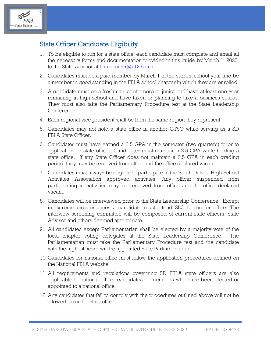

### State Officer Candidate Eligibility

- 1. To be eligible to run for a state office, each candidate must complete and email all the necessary forms and documentation provided in this guide by March 1, 2022, to the State Advisor at [tina.k.miller@k12.sd.us.](mailto:tina.k.miller@k12.sd.us)
- 2. Candidates must be a paid member by March 1 of the current school year and be a member in good standing in the FBLA school chapter in which they are enrolled.
- 3. A candidate must be a freshman, sophomore or junior and have at least one year remaining in high school and have taken or planning to take a business course. They must also take the Parliamentary Procedure test at the State Leadership Conference.
- 4. Each regional vice president shall be from the same region they represent.
- 5. Candidates may not hold a state office in another CTSO while serving as a SD FBLA State Officer.
- 6. Candidates must have earned a 2.5 GPA in the semester (two quarters) prior to application for state office. Candidates must maintain a 2.5 GPA while holding a state office. If any State Officer does not maintain a 2.5 GPA in each grading period, they may be removed from office and the office declared vacant.
- 7. Candidates must always be eligible to participate in the South Dakota High School Activities Association approved activities. Any officer suspended from participating in activities may be removed from office and the office declared vacant.
- 8. Candidates will be interviewed prior to the State Leadership Conference. Except in extreme circumstances a candidate must attend SLC to run for office. The interview screening committee will be composed of current state officers, State Advisor and others deemed appropriate.
- 9. All candidates except Parliamentarian shall be elected by a majority vote of the local chapter voting delegates at the State Leadership Conference. The Parliamentarian must take the Parliamentary Procedure test and the candidate with the highest score will be appointed State Parliamentarian.
- 10. Candidates for national office must follow the application procedures defined on the National FBLA website.
- 11. All requirements and regulations governing SD FBLA state officers are also applicable to national officer candidates or members who have been elected or appointed to a national office.
- 12. Any candidates that fail to comply with the procedures outlined above will not be allowed to run for state office.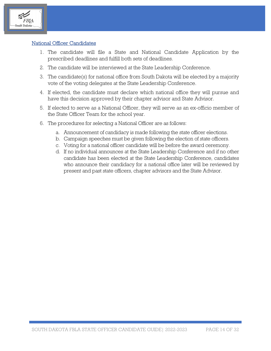

### National Officer Candidates

- 1. The candidate will file a State and National Candidate Application by the prescribed deadlines and fulfill both sets of deadlines.
- 2. The candidate will be interviewed at the State Leadership Conference.
- 3. The candidate(s) for national office from South Dakota will be elected by a majority vote of the voting delegates at the State Leadership Conference.
- 4. If elected, the candidate must declare which national office they will pursue and have this decision approved by their chapter advisor and State Advisor.
- 5. If elected to serve as a National Officer, they will serve as an ex-officio member of the State Officer Team for the school year.
- 6. The procedures for selecting a National Officer are as follows:
	- a. Announcement of candidacy is made following the state officer elections.
	- b. Campaign speeches must be given following the election of state officers.
	- c. Voting for a national officer candidate will be before the award ceremony.
	- d. If no individual announces at the State Leadership Conference and if no other candidate has been elected at the State Leadership Conference, candidates who announce their candidacy for a national office later will be reviewed by present and past state officers, chapter advisors and the State Advisor.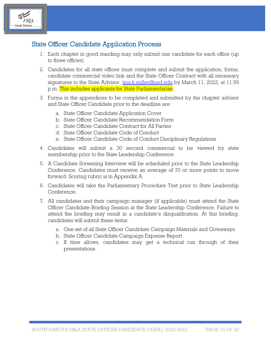

### State Officer Candidate Application Process

- 1. Each chapter in good standing may only submit one candidate for each office (up to three offices).
- 2. Candidates for all state offices must complete and submit the application, forms, candidate commercial video link and the State Officer Contract with all necessary signatures to the State Advisor, [tina.k.miller@usd.edu](mailto:tina.k.miller?subject=State%20Officer%20Candidate%20Application) by March 11, 2022, at 11:59 p.m. This includes applicants for State Parliamentarian.
- 3. Forms in the appendices to be completed and submitted by the chapter advisor and State Officer Candidate prior to the deadline are:
	- a. State Officer Candidate Application Cover
	- b. State Officer Candidate Recommendation Form
	- c. State Officer Candidate Contract for All Parties
	- d. State Officer Candidate Code of Conduct
	- e. State Officer Candidate Code of Conduct Disciplinary Regulations
- 4. Candidates will submit a 30 second commercial to be viewed by state membership prior to the State Leadership Conference.
- 5. A Candidate Screening Interview will be scheduled prior to the State Leadership Conference. Candidates must receive an average of 70 or more points to move forward. Scoring rubric is in Appendix A.
- 6. Candidates will take the Parliamentary Procedure Test prior to State Leadership Conference.
- 7. All candidates and their campaign manager (if applicable) must attend the State Officer Candidate Briefing Session at the State Leadership Conference. Failure to attend the briefing may result in a candidate's disqualification. At this briefing, candidates will submit these items:
	- a. One set of all State Officer Candidate Campaign Materials and Giveaways.
	- b. State Officer Candidate Campaign Expense Report.
	- c. If time allows, candidates may get a technical run through of their presentations.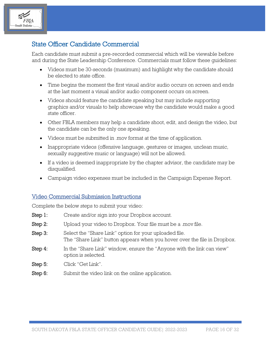

### State Officer Candidate Commercial

Each candidate must submit a pre-recorded commercial which will be viewable before and during the State Leadership Conference. Commercials must follow these guidelines:

- Videos must be 30-seconds (maximum) and highlight why the candidate should be elected to state office.
- Time begins the moment the first visual and/or audio occurs on screen and ends at the last moment a visual and/or audio component occurs on screen.
- Videos should feature the candidate speaking but may include supporting graphics and/or visuals to help showcase why the candidate would make a good state officer.
- Other FBLA members may help a candidate shoot, edit, and design the video, but the candidate can be the only one speaking.
- Videos must be submitted in .mov format at the time of application.
- Inappropriate videos (offensive language, gestures or images, unclean music, sexually suggestive music or language) will not be allowed.
- If a video is deemed inappropriate by the chapter advisor, the candidate may be disqualified.
- Campaign video expenses must be included in the Campaign Expense Report.

### Video Commercial Submission Instructions

Complete the below steps to submit your video:

- Step 1: Create and/or sign into your Dropbox account.
- Step 2: Upload your video to Dropbox. Your file must be a mov file.
- Step 3: Select the "Share Link" option for your uploaded file. The "Share Link" button appears when you hover over the file in Dropbox.
- Step 4: In the "Share Link" window, ensure the "Anyone with the link can view" option is selected.
- Step 5: Click "Get Link".
- Step 6: Submit the video link on the online application.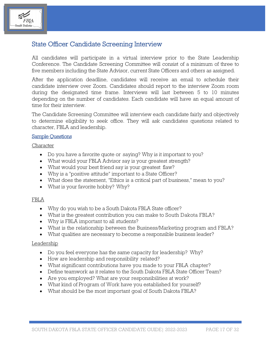

### State Officer Candidate Screening Interview

All candidates will participate in a virtual interview prior to the State Leadership Conference. The Candidate Screening Committee will consist of a minimum of three to five members including the State Advisor, current State Officers and others as assigned.

After the application deadline, candidates will receive an email to schedule their candidate interview over Zoom. Candidates should report to the interview Zoom room during the designated time frame. Interviews will last between 5 to 10 minutes depending on the number of candidates. Each candidate will have an equal amount of time for their interview.

The Candidate Screening Committee will interview each candidate fairly and objectively to determine eligibility to seek office. They will ask candidates questions related to character, FBLA and leadership.

### Sample Questions

Character

- Do you have a favorite quote or saying? Why is it important to you?
- What would your FBLA Advisor say is your greatest strength?
- What would your best friend say is your greatest flaw?
- Why is a "positive attitude" important to a State Officer?
- What does the statement, "Ethics is a critical part of business," mean to you?
- What is your favorite hobby? Why?

### FBLA

- Why do you wish to be a South Dakota FBLA State officer?
- What is the greatest contribution you can make to South Dakota FBLA?
- Why is FBLA important to all students?
- What is the relationship between the Business/Marketing program and FBLA?
- What qualities are necessary to become a responsible business leader?

### Leadership

- Do you feel everyone has the same capacity for leadership? Why?
- How are leadership and responsibility related?
- What significant contributions have you made to your FBLA chapter?
- Define teamwork as it relates to the South Dakota FBLA State Officer Team?
- Are you employed? What are your responsibilities at work?
- What kind of Program of Work have you established for yourself?
- What should be the most important goal of South Dakota FBLA?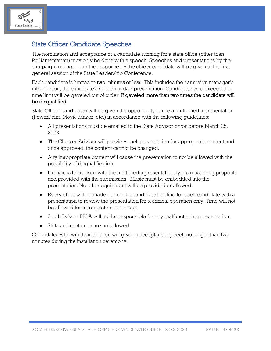

### State Officer Candidate Speeches

The nomination and acceptance of a candidate running for a state office (other than Parliamentarian) may only be done with a speech. Speeches and presentations by the campaign manager and the response by the officer candidate will be given at the first general session of the State Leadership Conference.

Each candidate is limited to two minutes or less. This includes the campaign manager's introduction, the candidate's speech and/or presentation. Candidates who exceed the time limit will be gaveled out of order. If gaveled more than two times the candidate will be disqualified.

State Officer candidates will be given the opportunity to use a multi-media presentation (PowerPoint, Movie Maker, etc.) in accordance with the following guidelines:

- All presentations must be emailed to the State Advisor on/or before March 25, 2022.
- The Chapter Advisor will preview each presentation for appropriate content and once approved, the content cannot be changed.
- Any inappropriate content will cause the presentation to not be allowed with the possibility of disqualification.
- If music is to be used with the multimedia presentation, lyrics must be appropriate and provided with the submission. Music must be embedded into the presentation. No other equipment will be provided or allowed.
- Every effort will be made during the candidate briefing for each candidate with a presentation to review the presentation for technical operation only. Time will not be allowed for a complete run-through.
- South Dakota FBLA will not be responsible for any malfunctioning presentation.
- Skits and costumes are not allowed.

Candidates who win their election will give an acceptance speech no longer than two minutes during the installation ceremony.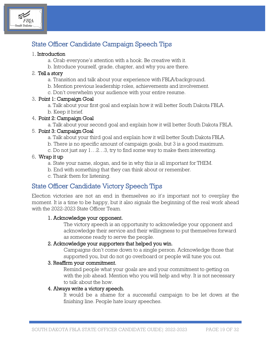

# State Officer Candidate Campaign Speech Tips

### 1. Introduction

- a. Grab everyone's attention with a hook. Be creative with it.
- b. Introduce yourself, grade, chapter, and why you are there.

### 2. Tell a story

- a. Transition and talk about your experience with FBLA/background.
- b. Mention previous leadership roles, achievements and involvement.
- c. Don't overwhelm your audience with your entire resume.

### 3. Point 1: Campaign Goal

- a. Talk about your first goal and explain how it will better South Dakota FBLA.
- b. Keep it brief.

### 4. Point 2: Campaign Goal

a. Talk about your second goal and explain how it will better South Dakota FBLA.

### 5. Point 3: Campaign Goal

- a. Talk about your third goal and explain how it will better South Dakota FBLA.
- b. There is no specific amount of campaign goals, but 3 is a good maximum.
- c. Do not just say 1…2…3, try to find some way to make them interesting.

### 6. Wrap it up

- a. State your name, slogan, and tie in why this is all important for THEM.
- b. End with something that they can think about or remember.
- c. Thank them for listening.

### State Officer Candidate Victory Speech Tips

Election victories are not an end in themselves so it's important not to overplay the moment. It is a time to be happy, but it also signals the beginning of the real work ahead with the 2022-2023 State Officer Team.

### 1. Acknowledge your opponent.

The victory speech is an opportunity to acknowledge your opponent and acknowledge their service and their willingness to put themselves forward as someone ready to serve the people.

### 2. Acknowledge your supporters that helped you win.

Campaigns don't come down to a single person. Acknowledge those that supported you, but do not go overboard or people will tune you out.

### 3. Reaffirm your commitment.

Remind people what your goals are and your commitment to getting on with the job ahead. Mention who you will help and why. It is not necessary to talk about the how.

### 4. Always write a victory speech.

It would be a shame for a successful campaign to be let down at the finishing line. People hate lousy speeches.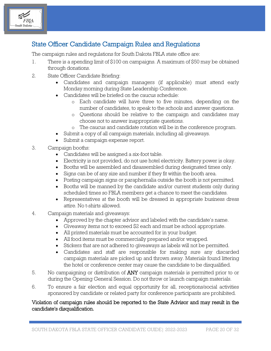

## State Officer Candidate Campaign Rules and Regulations

The campaign rules and regulations for South Dakota FBLA state office are:

- 1. There is a spending limit of \$100 on campaigns. A maximum of \$50 may be obtained through donations.
- 2. State Officer Candidate Briefing:
	- Candidates and campaign managers (if applicable) must attend early Monday morning during State Leadership Conference.
	- Candidates will be briefed on the caucus schedule:
		- o Each candidate will have three to five minutes, depending on the number of candidates, to speak to the schools and answer questions.
		- o Questions should be relative to the campaign and candidates may choose not to answer inappropriate questions.
		- o The caucus and candidate rotation will be in the conference program.
	- Submit a copy of all campaign materials, including all giveaways.
	- Submit a campaign expense report.
- 3. Campaign booths:
	- Candidates will be assigned a six-foot table.
	- Electricity is not provided, do not use hotel electricity. Battery power is okay.
	- Booths will be assembled and disassembled during designated times only.
	- Signs can be of any size and number if they fit within the booth area.
	- Posting campaign signs or paraphernalia outside the booth is not permitted.
	- Booths will be manned by the candidate and/or current students only during scheduled times so FBLA members get a chance to meet the candidates.
	- Representatives at the booth will be dressed in appropriate business dress attire. No t-shirts allowed.
- 4. Campaign materials and giveaways:
	- Approved by the chapter advisor and labeled with the candidate's name.
	- Giveaway items not to exceed \$2 each and must be school appropriate.
	- All printed materials must be accounted for in your budget.
	- All food items must be commercially prepared and/or wrapped.
	- Stickers that are not adhered to giveaways as labels will not be permitted.
	- Candidates and staff are responsible for making sure any discarded campaign materials are picked up and thrown away. Materials found littering the hotel or conference center may cause the candidate to be disqualified.
- 5. No campaigning or distribution of ANY campaign materials is permitted prior to or during the Opening General Session. Do not throw or launch campaign materials.
- 6. To ensure a fair election and equal opportunity for all, receptions/social activities sponsored by candidate or related party for conference participants are prohibited.

### Violation of campaign rules should be reported to the State Advisor and may result in the candidate's disqualification.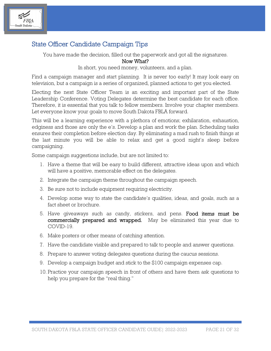

## State Officer Candidate Campaign Tips

You have made the decision, filled out the paperwork and got all the signatures.

Now What?

In short, you need money, volunteers, and a plan.

Find a campaign manager and start planning. It is never too early! It may look easy on television, but a campaign is a series of organized, planned actions to get you elected.

Electing the next State Officer Team is an exciting and important part of the State Leadership Conference. Voting Delegates determine the best candidate for each office. Therefore, it is essential that you talk to fellow members. Involve your chapter members. Let everyone know your goals to move South Dakota FBLA forward.

This will be a learning experience with a plethora of emotions; exhilaration, exhaustion, edginess and those are only the e's. Develop a plan and work the plan. Scheduling tasks ensures their completion before election day. By eliminating a mad rush to finish things at the last minute you will be able to relax and get a good night's sleep before campaigning.

Some campaign suggestions include, but are not limited to:

- 1. Have a theme that will be easy to build different, attractive ideas upon and which will have a positive, memorable effect on the delegates.
- 2. Integrate the campaign theme throughout the campaign speech.
- 3. Be sure not to include equipment requiring electricity.
- 4. Develop some way to state the candidate's qualities, ideas, and goals, such as a fact sheet or brochure.
- 5. Have giveaways such as candy, stickers, and pens. Food items must be commercially prepared and wrapped. May be eliminated this year due to COVID-19.
- 6. Make posters or other means of catching attention.
- 7. Have the candidate visible and prepared to talk to people and answer questions.
- 8. Prepare to answer voting delegates questions during the caucus sessions.
- 9. Develop a campaign budget and stick to the \$100 campaign expenses cap.
- 10. Practice your campaign speech in front of others and have them ask questions to help you prepare for the "real thing."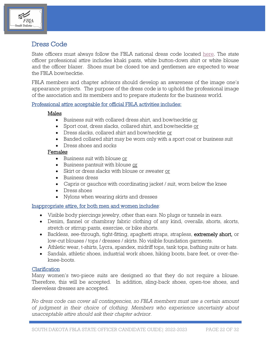

## Dress Code

State officers must always follow the FBLA national dress code located [here.](https://www.sdfbla.com/dress-for-success) The state officer professional attire includes khaki pants, white button-down shirt or white blouse and the officer blazer. Shoes must be closed toe and gentlemen are expected to wear the FBLA bow/necktie.

FBLA members and chapter advisors should develop an awareness of the image one's appearance projects. The purpose of the dress code is to uphold the professional image of the association and its members and to prepare students for the business world.

### Professional attire acceptable for official FBLA activities includes:

### Males

- Business suit with collared dress shirt, and bow/necktie or
- Sport coat, dress slacks, collared shirt, and bow/necktie or
- Dress slacks, collared shirt and bow/necktie or
- Banded collared shirt may be worn only with a sport coat or business suit
- Dress shoes and socks

### Females

- Business suit with blouse or
- Business pantsuit with blouse or
- Skirt or dress slacks with blouse or sweater or
- Business dress
- Capris or gauchos with coordinating jacket / suit, worn below the knee
- Dress shoes
- Nylons when wearing skirts and dresses

### Inappropriate attire, for both men and women includes:

- Visible body piercings jewelry, other than ears. No plugs or tunnels in ears.
- Denim, flannel or chambray fabric clothing of any kind, overalls, shorts, skorts, stretch or stirrup pants, exercise, or bike shorts.
- Backless, see-through, tight-fitting, spaghetti straps, strapless, extremely short, or low-cut blouses / tops / dresses / skirts. No visible foundation garments.
- Athletic wear, t-shirts, Lycra, spandex, midriff tops, tank tops, bathing suits or hats.
- Sandals, athletic shoes, industrial work shoes, hiking boots, bare feet, or over-theknee-boots.

### Clarification

Many women's two-piece suits are designed so that they do not require a blouse. Therefore, this will be accepted. In addition, sling-back shoes, open-toe shoes, and sleeveless dresses are accepted.

*No dress code can cover all contingencies, so FBLA members must use a certain amount of judgment in their choice of clothing. Members who experience uncertainty about unacceptable attire should ask their chapter advisor.*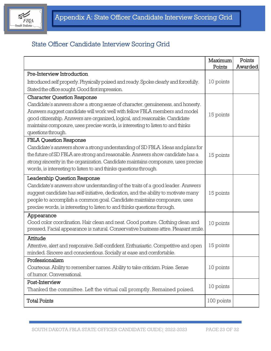

# State Officer Candidate Interview Scoring Grid

|                                                                                      | Maximum    | Points  |
|--------------------------------------------------------------------------------------|------------|---------|
| Pre-Interview Introduction                                                           | Points     | Awarded |
| Introduced self properly. Physically poised and ready. Spoke clearly and forcefully. | 10 points  |         |
| Stated the office sought. Good first impression.                                     |            |         |
|                                                                                      |            |         |
| <b>Character Question Response</b>                                                   |            |         |
| Candidate's answers show a strong sense of character, genuineness, and honesty.      |            |         |
| Answers suggest candidate will work well with fellow FBLA members and model          | 15 points  |         |
| good citizenship. Answers are organized, logical, and reasonable. Candidate          |            |         |
| maintains composure, uses precise words, is interesting to listen to and thinks      |            |         |
| questions through.                                                                   |            |         |
| <b>FBLA Question Response</b>                                                        |            |         |
| Candidate's answers show a strong understanding of SD FBLA. Ideas and plans for      |            |         |
| the future of SD FBLA are strong and reasonable. Answers show candidate has a        | 15 points  |         |
| strong sincerity in the organization. Candidate maintains composure, uses precise    |            |         |
| words, is interesting to listen to and thinks questions through.                     |            |         |
| Leadership Question Response                                                         |            |         |
| Candidate's answers show understanding of the traits of a good leader. Answers       |            |         |
| suggest candidate has self-initiative, dedication, and the ability to motivate many  | 15 points  |         |
| people to accomplish a common goal. Candidate maintains composure, uses              |            |         |
| precise words, is interesting to listen to and thinks questions through.             |            |         |
| Appearance                                                                           |            |         |
| Good color coordination. Hair clean and neat. Good posture. Clothing clean and       | 10 points  |         |
| pressed. Facial appearance is natural. Conservative business attire. Pleasant smile. |            |         |
| Attitude                                                                             |            |         |
| Attentive, alert and responsive. Self-confident. Enthusiastic. Competitive and open  | 15 points  |         |
| minded. Sincere and conscientious. Socially at ease and comfortable.                 |            |         |
| Professionalism                                                                      |            |         |
| Courteous. Ability to remember names. Ability to take criticism. Poise. Sense        | 10 points  |         |
| of humor. Conversational.                                                            |            |         |
| Post-Interview                                                                       |            |         |
| Thanked the committee. Left the virtual call promptly. Remained poised.              | 10 points  |         |
| <b>Total Points</b>                                                                  | 100 points |         |
|                                                                                      |            |         |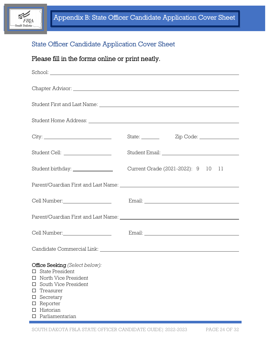

# State Officer Candidate Application Cover Sheet

# Please fill in the forms online or print neatly.

|                                                                                                                                                                                                                        | State: <u>Zip Code:</u> Zip Code:  |
|------------------------------------------------------------------------------------------------------------------------------------------------------------------------------------------------------------------------|------------------------------------|
|                                                                                                                                                                                                                        |                                    |
|                                                                                                                                                                                                                        | Current Grade (2021-2022): 9 10 11 |
|                                                                                                                                                                                                                        |                                    |
|                                                                                                                                                                                                                        | $\pmb{\text{Email:}}$              |
|                                                                                                                                                                                                                        |                                    |
| Cell Number: University of Numbers                                                                                                                                                                                     |                                    |
|                                                                                                                                                                                                                        |                                    |
| Office Seeking (Select below):<br><b>State President</b><br>$\Box$<br>North Vice President<br>□<br>South Vice President<br>□<br>Treasurer<br>□<br>Secretary<br>□<br>Reporter<br>□<br>Historian<br>□<br>Parliamentarian |                                    |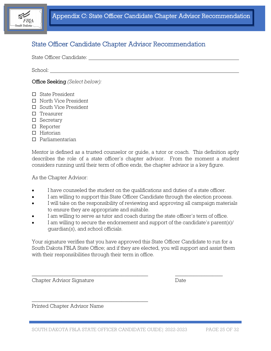

### State Officer Candidate Chapter Advisor Recommendation

State Officer Candidate:

School:

Office Seeking *(Select below):*

- □ State President
- □ North Vice President
- □ South Vice President
- $\Box$  Treasurer
- □ Secretary
- □ Reporter
- $\Pi$  Historian
- Parliamentarian

Mentor is defined as a trusted counselor or guide, a tutor or coach. This definition aptly describes the role of a state officer's chapter advisor. From the moment a student considers running until their term of office ends, the chapter advisor is a key figure.

As the Chapter Advisor:

- I have counseled the student on the qualifications and duties of a state officer.
- I am willing to support this State Officer Candidate through the election process.
- I will take on the responsibility of reviewing and approving all campaign materials to ensure they are appropriate and suitable.
- I am willing to serve as tutor and coach during the state officer's term of office.
- I am willing to secure the endorsement and support of the candidate's parent(s)/ guardian(s), and school officials.

Your signature verifies that you have approved this State Officer Candidate to run for a South Dakota FBLA State Office; and if they are elected, you will support and assist them with their responsibilities through their term in office.

 $\_$  , and the set of the set of the set of the set of the set of the set of the set of the set of the set of the set of the set of the set of the set of the set of the set of the set of the set of the set of the set of th

Chapter Advisor Signature Date

Printed Chapter Advisor Name

\_\_\_\_\_\_\_\_\_\_\_\_\_\_\_\_\_\_\_\_\_\_\_\_\_\_\_\_\_\_\_\_\_\_\_\_\_\_\_\_\_\_\_\_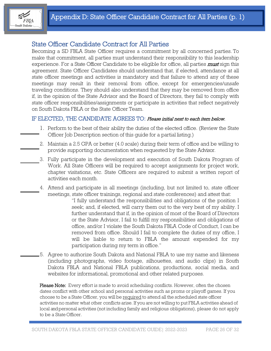

### State Officer Candidate Contract for All Parties

Becoming a SD FBLA State Officer requires a commitment by all concerned parties. To make that commitment, all parties must understand their responsibility to this leadership experience. For a State Officer Candidate to be eligible for office, all parties *must* sign this agreement. State Officer Candidates should understand that, if elected, attendance at all state officer meetings and activities is mandatory and that failure to attend any of these meetings may result in their removal from office, except for emergencies/unsafe traveling conditions. They should also understand that they may be removed from office if, in the opinion of the State Advisor and the Board of Directors, they fail to comply with state officer responsibilities/assignments or participate in activities that reflect negatively on South Dakota FBLA or the State Officer Team.

### IF ELECTED, THE CANDIDATE AGREES TO: Please initial next to each item below.

- 1. Perform to the best of their ability the duties of the elected office. (Review the State Officer Job Description section of this guide for a partial listing.)
- 2. Maintain a 2.5 GPA or better (4.0 scale) during their term of office and be willing to provide supporting documentation when requested by the State Advisor.
- 3. Fully participate in the development and execution of South Dakota Program of Work. All State Officers will be required to accept assignments for project work, chapter visitations, etc. State Officers are required to submit a written report of activities each month.
- 4. Attend and participate in all meetings (including, but not limited to, state officer meetings, state officer trainings, regional and state conferences) and attest that:
	- "I fully understand the responsibilities and obligations of the position I seek; and, if elected, will carry them out to the very best of my ability. I further understand that if, in the opinion of most of the Board of Directors or the State Advisor, I fail to fulfill my responsibilities and obligations of office, and/or I violate the South Dakota FBLA Code of Conduct, I can be removed from office. Should I fail to complete the duties of my office, I will be liable to return to FBLA the amount expended for my participation during my term in office."
- 5. Agree to authorize South Dakota and National FBLA to use my name and likeness (including photographs, video footage, silhouettes, and audio clips) in South Dakota FBLA and National FBLA publications, productions, social media, and websites for informational, promotional and other related purposes.

Please Note: Every effort is made to avoid scheduling conflicts. However, often the chosen dates conflict with other school and personal activities such as proms or playoff games. If you choose to be a State Officer, you will be required to attend all the scheduled state officer activities no matter what other conflicts arise. If you are not willing to put FBLA activities ahead of local andpersonal activities (not including family and religious obligations), please do not apply to be a State Officer.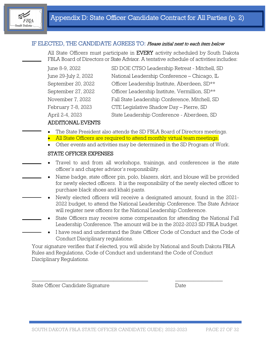

### IF ELECTED, THE CANDIDATE AGREES TO: Please initial next to each item below

All State Officers must participate in **EVERY** activity scheduled by South Dakota FBLA Board of Directors or State Advisor. A tentative schedule of activities includes:

| June 8-9, 2022       | SD DOE CTSO Leadership Retreat - Mitchell, SD  |
|----------------------|------------------------------------------------|
| June 29-July 2, 2022 | National Leadership Conference - Chicago, IL   |
| September 20, 2022   | Officer Leadership Institute, Aberdeen, SD**   |
| September 27, 2022   | Officer Leadership Institute, Vermillion, SD** |
| November 7, 2022     | Fall State Leadership Conference, Mitchell, SD |
| February 7-8, 2023   | CTE Legislative Shadow Day - Pierre, SD        |
| April 2-4, 2023      | State Leadership Conference - Aberdeen, SD     |
|                      |                                                |

### ADDITIONAL EVENTS

- The State President also attends the SD FBLA Board of Directors meetings.
- All State Officers are required to attend monthly virtual team meetings.
- Other events and activities may be determined in the SD Program of Work.

#### STATE OFFICER EXPENSES

- Travel to and from all workshops, trainings, and conferences is the state officer's and chapter advisor's responsibility.
- Name badge, state officer pin, polo, blazers, skirt, and blouse will be provided for newly elected officers. It is the responsibility of the newly elected officer to purchase black shoes and khaki pants.
- Newly elected officers will receive a designated amount, found in the 2021- 2022 budget, to attend the National Leadership Conference. The State Advisor will register new officers for the National Leadership Conference.
- State Officers may receive some compensation for attending the National Fall Leadership Conference. The amount will be in the 2022-2023 SD FBLA budget.
- I have read and understand the State Officer Code of Conduct and the Code of Conduct Disciplinary regulations.

Your signature verifies that if elected, you will abide by National and South Dakota FBLA Rules and Regulations, Code of Conduct and understand the Code of Conduct Disciplinary Regulations.

\_\_\_\_\_\_\_\_\_\_\_\_\_\_\_\_\_\_\_\_\_\_\_\_\_\_\_\_\_\_\_\_\_\_\_\_\_\_\_\_\_\_\_\_ \_\_\_\_\_\_\_\_\_\_\_\_\_\_\_\_\_\_

State Officer Candidate Signature Date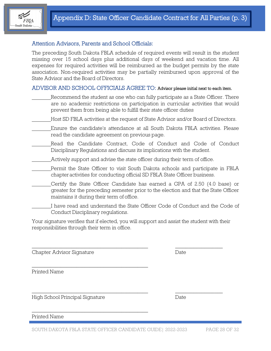

### Attention Advisors, Parents and School Officials:

The preceding South Dakota FBLA schedule of required events will result in the student missing over 15 school days plus additional days of weekend and vacation time. All expenses for required activities will be reimbursed as the budget permits by the state association. Non-required activities may be partially reimbursed upon approval of the State Advisor and the Board of Directors.

### ADVISOR AND SCHOOL OFFICIALS AGREE TO: Advisor please initial next to each item.

- Recommend the student as one who can fully participate as a State Officer. There are no academic restrictions on participation in curricular activities that would prevent them from being able to fulfill their state officer duties
- Host SD FBLA activities at the request of State Advisor and/or Board of Directors.
- Ensure the candidate's attendance at all South Dakota FBLA activities. Please read the candidate agreement on previous page.
- Read the Candidate Contract, Code of Conduct and Code of Conduct Disciplinary Regulations and discuss its implications with the student.
	- Actively support and advise the state officer during their term of office.
- Permit the State Officer to visit South Dakota schools and participate in FBLA chapteractivities for conducting official SD FBLA State Officer business.
- Certify the State Officer Candidate has earned a GPA of 2.50 (4.0 base) or greater for the preceding semester prior to the election and that the State Officer maintains it during their term of office.
- I have read and understand the State Officer Code of Conduct and the Code of Conduct Disciplinary regulations.

Your signature verifies that if elected, you will support and assist the student with their responsibilities through their term in office.

\_\_\_\_\_\_\_\_\_\_\_\_\_\_\_\_\_\_\_\_\_\_\_\_\_\_\_\_\_\_\_\_\_\_\_\_\_\_\_\_\_\_\_\_ \_\_\_\_\_\_\_\_\_\_\_\_\_\_\_\_\_\_

 $\_$  , and the set of the set of the set of the set of the set of the set of the set of the set of the set of the set of the set of the set of the set of the set of the set of the set of the set of the set of the set of th

Chapter Advisor Signature Date

Printed Name

High School Principal Signature Date

\_\_\_\_\_\_\_\_\_\_\_\_\_\_\_\_\_\_\_\_\_\_\_\_\_\_\_\_\_\_\_\_\_\_\_\_\_\_\_\_\_\_\_\_

\_\_\_\_\_\_\_\_\_\_\_\_\_\_\_\_\_\_\_\_\_\_\_\_\_\_\_\_\_\_\_\_\_\_\_\_\_\_\_\_\_\_\_\_

Printed Name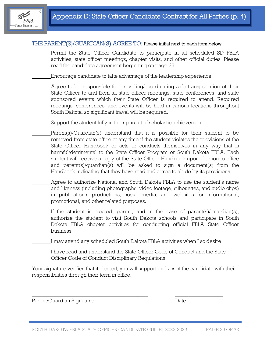

### THE PARENT(S)/GUARDIAN(S) AGREE TO: Please initial next to each item below.

Permit the State Officer Candidate to participate in all scheduled SD FBLA activities, state officer meetings, chapter visits, and other official duties. Please read the candidate agreement beginning on page 26.

Encourage candidate to take advantage of the leadership experience.

- Agree to be responsible for providing/coordinating safe transportation of their State Officer to and from all state officer meetings, state conferences, and state sponsored events which their State Officer is required to attend. Required meetings, conferences, and events will be held in various locations throughout South Dakota, so significant travel will be required.
- Support the student fully in their pursuit of scholastic achievement.
- Parent(s)/Guardian(s) understand that it is possible for their student to be removed from state office at any time if the student violates the provisions of the State Officer Handbook or acts or conducts themselves in any way that is harmful/detrimental to the State Officer Program or South Dakota FBLA. Each student will receive a copy of the State Officer Handbook upon election to office and parent(s)/guardian(s) will be asked to sign a document(s) from the Handbook indicating that they have read and agree to abide by its provisions.
- Agree to authorize National and South Dakota FBLA to use the student's name and likeness (including photographs, video footage, silhouettes, and audio clips) in publications, productions, social media, and websites for informational, promotional, and other related purposes.
- If the student is elected, permit, and in the case of parent(s)/guardian(s), authorize the student to visit South Dakota schools and participate in South Dakota FBLA chapter activities for conducting official FBLA State Officer business.

I may attend any scheduled South Dakota FBLA activities when I so desire.

I have read and understand the State Officer Code of Conduct and the State Officer Code of Conduct Disciplinary Regulations.

 $\_$  , and the set of the set of the set of the set of the set of the set of the set of the set of the set of the set of the set of the set of the set of the set of the set of the set of the set of the set of the set of th

Your signature verifies that if elected, you will support and assist the candidate with their responsibilities through their term in office.

Parent/Guardian Signature Date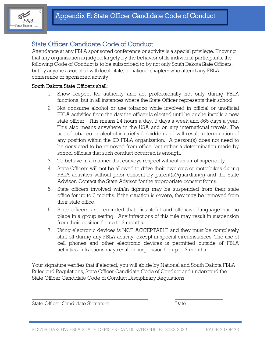

### State Officer Candidate Code of Conduct

Attendance at any FBLA sponsored conference or activity is a special privilege. Knowing that any organization is judged largely by the behavior of its individual participants, the following Code of Conduct is to be subscribed to by not only South Dakota State Officers, but by anyone associated with local, state, or national chapters who attend any FBLA conference or sponsored activity.

### South Dakota State Officers shall:

- 1. Show respect for authority and act professionally not only during FBLA functions, but in all instances where the State Officer represents their school.
- 2. Not consume alcohol or use tobacco while involved in official or unofficial FBLA activities from the day the officer is elected until he or she installs a new state officer. This means 24 hours a day, 7 days a week and 365 days a year. This also means anywhere in the USA and on any international travels. The use of tobacco or alcohol is strictly forbidden and will result in termination of any position within the SD FBLA organization. A person(s) does not need to be convicted to be removed from office, but rather a determination made by school officials that such conduct occurred is enough.
- 3. To behave in a manner that conveys respect without an air of superiority.
- 4. State Officers will not be allowed to drive their own cars or motorbikes during FBLA activities without prior consent by parent(s)/guardian(s) and the State Advisor. Contact the State Advisor for the appropriate consent forms.
- 5. State officers involved with/in fighting may be suspended from their state office for up to 3 months. If the situation is severe, they may be removed from their state office.
- 6. State officers are reminded that distasteful and offensive language has no place in a group setting. Any infractions of this rule may result in suspension from their position for up to 3 months.
- 7. Using electronic devices is NOT ACCEPTABLE and they must be completely shut off during any FBLA activity, except in special circumstances. The use of cell phones and other electronic devices is permitted outside of FBLA activities. Infractions may result in suspension for up to 3 months.

Your signature verifies that if elected, you will abide by National and South Dakota FBLA Rules and Regulations, State Officer Candidate Code of Conduct and understand the State Officer Candidate Code of Conduct Disciplinary Regulations.

 $\_$  , and the set of the set of the set of the set of the set of the set of the set of the set of the set of the set of the set of the set of the set of the set of the set of the set of the set of the set of the set of th

State Officer Candidate Signature Date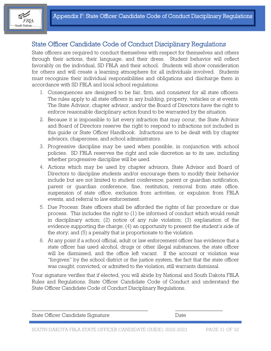

### State Officer Candidate Code of Conduct Disciplinary Regulations

State officers are required to conduct themselves with respect for themselves and others through their actions, their language, and their dress. Student behavior will reflect favorably on the individual, SD FBLA and their school. Students will show consideration for others and will create a learning atmosphere for all individuals involved. Students must recognize their individual responsibilities and obligations and discharge them in accordance with SD FBLA and local school regulations.

- 1. Consequences are designed to be fair, firm, and consistent for all state officers. The rules apply to all state officers in any building, property, vehicles or at events. The State Advisor, chapter advisor, and/or the Board of Directors have the right to enforce reasonable disciplinary action found to be warranted by the situation.
- 2. Because it is impossible to list every infraction that may occur, the State Advisor and Board of Directors reserve the right to respond to infractions not included in this guide or State Officer Handbook. Infractions are to be dealt with by chapter advisors, chaperones, and school administrators.
- 3. Progressive discipline may be used when possible, in conjunction with school policies. SD FBLA reserves the right and sole discretion as to its use, including whether progressive discipline will be used.
- 4. Actions which may be used by chapter advisors, State Advisor and Board of Directors to discipline students and/or encourage them to modify their behavior include but are not limited to student conference, parent or guardian notification, parent or guardian conference, fine, restitution, removal from state office, suspension of state office, exclusion from activities, or expulsion from FBLA events, and referral to law enforcement.
- 5. Due Process: State officers shall be afforded the rights of fair procedure or due process. This includes the right to (1) be informed of conduct which would result in disciplinary action; (2) notice of any rule violation; (3) explanation of the evidence supporting the charge; (4) an opportunity to present the student's side of the story; and (5) a penalty that is proportionate to the violation.
- 6. At any point if a school official, adult or law enforcement officer has evidence that a state officer has used alcohol, drugs or other illegal substances, the state officer will be dismissed, and the office left vacant. If the account or violation was "forgiven" by the school district or the justice system, the fact that the state officer was caught, convicted, or admitted to the violation, still warrants dismissal.

Your signature verifies that if elected, you will abide by National and South Dakota FBLA Rules and Regulations, State Officer Candidate Code of Conduct and understand the State Officer Candidate Code of Conduct Disciplinary Regulations.

| State Officer Candidate Signature | Date |  |
|-----------------------------------|------|--|
|                                   |      |  |
|                                   |      |  |